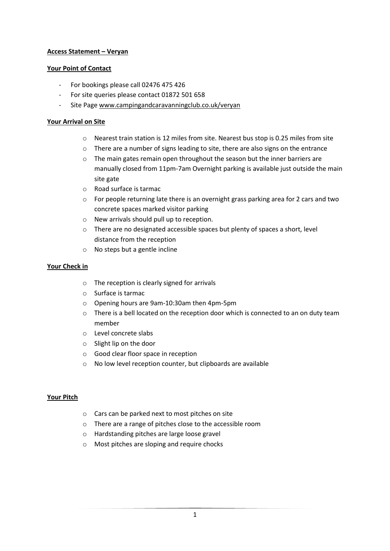# **Access Statement – Veryan**

### **Your Point of Contact**

- For bookings please call 02476 475 426
- For site queries please contact 01872 501 658
- Site Page [www.campingandcaravanningclub.co.uk/veryan](http://www.campingandcaravanningclub.co.uk/veryan)

### **Your Arrival on Site**

- o Nearest train station is 12 miles from site. Nearest bus stop is 0.25 miles from site
- o There are a number of signs leading to site, there are also signs on the entrance
- o The main gates remain open throughout the season but the inner barriers are manually closed from 11pm-7am Overnight parking is available just outside the main site gate
- o Road surface is tarmac
- $\circ$  For people returning late there is an overnight grass parking area for 2 cars and two concrete spaces marked visitor parking
- o New arrivals should pull up to reception.
- o There are no designated accessible spaces but plenty of spaces a short, level distance from the reception
- o No steps but a gentle incline

#### **Your Check in**

- o The reception is clearly signed for arrivals
- o Surface is tarmac
- o Opening hours are 9am-10:30am then 4pm-5pm
- o There is a bell located on the reception door which is connected to an on duty team member
- o Level concrete slabs
- o Slight lip on the door
- o Good clear floor space in reception
- o No low level reception counter, but clipboards are available

#### **Your Pitch**

- o Cars can be parked next to most pitches on site
- o There are a range of pitches close to the accessible room
- o Hardstanding pitches are large loose gravel
- o Most pitches are sloping and require chocks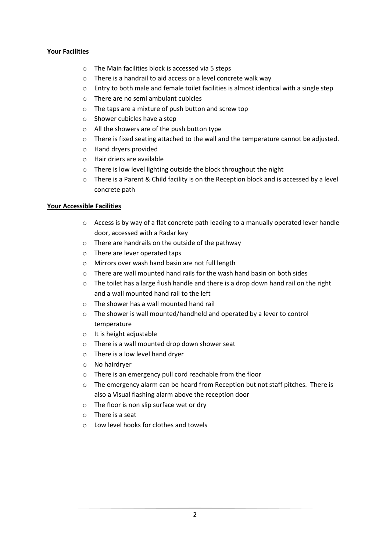# **Your Facilities**

- o The Main facilities block is accessed via 5 steps
- o There is a handrail to aid access or a level concrete walk way
- $\circ$  Entry to both male and female toilet facilities is almost identical with a single step
- o There are no semi ambulant cubicles
- o The taps are a mixture of push button and screw top
- o Shower cubicles have a step
- o All the showers are of the push button type
- o There is fixed seating attached to the wall and the temperature cannot be adjusted.
- o Hand dryers provided
- o Hair driers are available
- o There is low level lighting outside the block throughout the night
- $\circ$  There is a Parent & Child facility is on the Reception block and is accessed by a level concrete path

# **Your Accessible Facilities**

- o Access is by way of a flat concrete path leading to a manually operated lever handle door, accessed with a Radar key
- o There are handrails on the outside of the pathway
- o There are lever operated taps
- o Mirrors over wash hand basin are not full length
- o There are wall mounted hand rails for the wash hand basin on both sides
- $\circ$  The toilet has a large flush handle and there is a drop down hand rail on the right and a wall mounted hand rail to the left
- o The shower has a wall mounted hand rail
- o The shower is wall mounted/handheld and operated by a lever to control temperature
- o It is height adjustable
- o There is a wall mounted drop down shower seat
- o There is a low level hand dryer
- o No hairdryer
- o There is an emergency pull cord reachable from the floor
- $\circ$  The emergency alarm can be heard from Reception but not staff pitches. There is also a Visual flashing alarm above the reception door
- o The floor is non slip surface wet or dry
- o There is a seat
- o Low level hooks for clothes and towels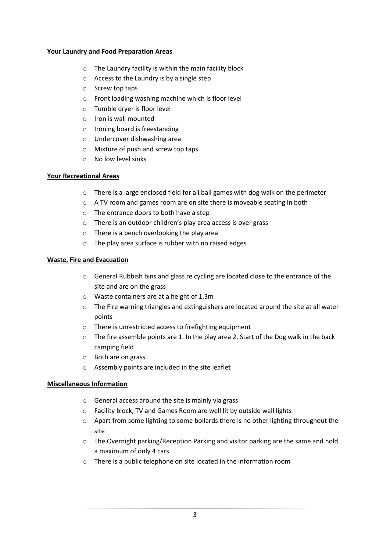### **Your Laundry and Food Preparation Areas**

- o The Laundry facility is within the main facility block
- o Access to the Laundry is by a single step
- o Screw top taps
- o Front loading washing machine which is floor level
- o Tumble dryer is floor level
- o Iron is wall mounted
- o Ironing board is freestanding
- o Undercover dishwashing area
- o Mixture of push and screw top taps
- o No low level sinks

# **Your Recreational Areas**

- o There is a large enclosed field for all ball games with dog walk on the perimeter
- o A TV room and games room are on site there is moveable seating in both
- o The entrance doors to both have a step
- o There is an outdoor children's play area access is over grass
- o There is a bench overlooking the play area
- o The play area surface is rubber with no raised edges

# **Waste, Fire and Evacuation**

- o General Rubbish bins and glass re cycling are located close to the entrance of the site and are on the grass
- o Waste containers are at a height of 1.3m
- $\circ$  The Fire warning triangles and extinguishers are located around the site at all water points
- o There is unrestricted access to firefighting equipment
- $\circ$  The fire assemble points are 1. In the play area 2. Start of the Dog walk in the back camping field
- o Both are on grass
- o Assembly points are included in the site leaflet

#### **Miscellaneous Information**

- o General access around the site is mainly via grass
- o Facility block, TV and Games Room are well lit by outside wall lights
- $\circ$  Apart from some lighting to some bollards there is no other lighting throughout the site
- o The Overnight parking/Reception Parking and visitor parking are the same and hold a maximum of only 4 cars
- o There is a public telephone on site located in the information room